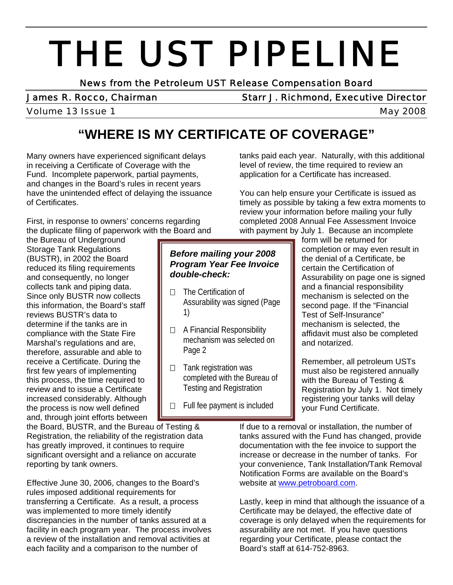# THE UST PIPELINE<br>News from the Petroleum UST Release Compensation Board

James R. Rocco, Chairman Starr J. Richmond, Executive Director

#### Volume 13 Issue 1 and 1 and 1 and 1 and 1 and 1 and 1 and 1 and 1 and 1 and 1 and 1 and 1 and 1 and 1 and 1 and 1 and 1 and 1 and 1 and 1 and 1 and 1 and 1 and 1 and 1 and 1 and 1 and 1 and 1 and 1 and 1 and 1 and 1 and 1

# **"WHERE IS MY CERTIFICATE OF COVERAGE"**

Many owners have experienced significant delays in receiving a Certificate of Coverage with the Fund. Incomplete paperwork, partial payments, and changes in the Board's rules in recent years have the unintended effect of delaying the issuance of Certificates.

First, in response to owners' concerns regarding the duplicate filing of paperwork with the Board and

the Bureau of Underground Storage Tank Regulations (BUSTR), in 2002 the Board reduced its filing requirements and consequently, no longer collects tank and piping data. Since only BUSTR now collects this information, the Board's staff reviews BUSTR's data to determine if the tanks are in compliance with the State Fire Marshal's regulations and are, therefore, assurable and able to receive a Certificate. During the first few years of implementing this process, the time required to review and to issue a Certificate increased considerably. Although the process is now well defined and, through joint efforts between

the Board, BUSTR, and the Bureau of Testing & Registration, the reliability of the registration data has greatly improved, it continues to require significant oversight and a reliance on accurate reporting by tank owners.

Effective June 30, 2006, changes to the Board's rules imposed additional requirements for transferring a Certificate. As a result, a process was implemented to more timely identify discrepancies in the number of tanks assured at a facility in each program year. The process involves a review of the installation and removal activities at each facility and a comparison to the number of

application for a Certificate has increased. You can help ensure your Certificate is issued as

timely as possible by taking a few extra moments to review your information before mailing your fully completed 2008 Annual Fee Assessment Invoice with payment by July 1. Because an incomplete

tanks paid each year. Naturally, with this additional level of review, the time required to review an

### *Before mailing your 2008 Program Year Fee Invoice double-check:*

- $\Box$  The Certification of Assurability was signed (Page 1)
- □ A Financial Responsibility mechanism was selected on Page 2
- $\Box$  Tank registration was completed with the Bureau of Testing and Registration
- $\Box$  Full fee payment is included

form will be returned for completion or may even result in the denial of a Certificate, be certain the Certification of Assurability on page one is signed and a financial responsibility mechanism is selected on the second page. If the "Financial Test of Self-Insurance" mechanism is selected, the affidavit must also be completed and notarized.

Remember, all petroleum USTs must also be registered annually with the Bureau of Testing & Registration by July 1. Not timely registering your tanks will delay your Fund Certificate.

If due to a removal or installation, the number of tanks assured with the Fund has changed, provide documentation with the fee invoice to support the increase or decrease in the number of tanks. For your convenience, Tank Installation/Tank Removal Notification Forms are available on the Board's website at [www.petroboard.com.](http://www.petroboard.com/)

Lastly, keep in mind that although the issuance of a Certificate may be delayed, the effective date of coverage is only delayed when the requirements for assurability are not met. If you have questions regarding your Certificate, please contact the Board's staff at 614-752-8963.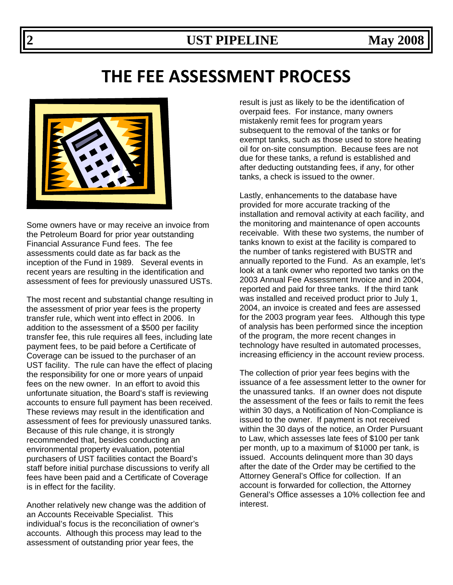# **THE FEE ASSESSMENT PROCESS**



Some owners have or may receive an invoice from the Petroleum Board for prior year outstanding Financial Assurance Fund fees. The fee assessments could date as far back as the inception of the Fund in 1989. Several events in recent years are resulting in the identification and assessment of fees for previously unassured USTs.

The most recent and substantial change resulting in the assessment of prior year fees is the property transfer rule, which went into effect in 2006. In addition to the assessment of a \$500 per facility transfer fee, this rule requires all fees, including late payment fees, to be paid before a Certificate of Coverage can be issued to the purchaser of an UST facility. The rule can have the effect of placing the responsibility for one or more years of unpaid fees on the new owner. In an effort to avoid this unfortunate situation, the Board's staff is reviewing accounts to ensure full payment has been received. These reviews may result in the identification and assessment of fees for previously unassured tanks. Because of this rule change, it is strongly recommended that, besides conducting an environmental property evaluation, potential purchasers of UST facilities contact the Board's staff before initial purchase discussions to verify all fees have been paid and a Certificate of Coverage is in effect for the facility.

Another relatively new change was the addition of an Accounts Receivable Specialist. This individual's focus is the reconciliation of owner's accounts. Although this process may lead to the assessment of outstanding prior year fees, the

result is just as likely to be the identification of overpaid fees. For instance, many owners mistakenly remit fees for program years subsequent to the removal of the tanks or for exempt tanks, such as those used to store heating oil for on-site consumption. Because fees are not due for these tanks, a refund is established and after deducting outstanding fees, if any, for other tanks, a check is issued to the owner.

Lastly, enhancements to the database have provided for more accurate tracking of the installation and removal activity at each facility, and the monitoring and maintenance of open accounts receivable. With these two systems, the number of tanks known to exist at the facility is compared to the number of tanks registered with BUSTR and annually reported to the Fund. As an example, let's look at a tank owner who reported two tanks on the 2003 Annual Fee Assessment Invoice and in 2004, reported and paid for three tanks. If the third tank was installed and received product prior to July 1, 2004, an invoice is created and fees are assessed for the 2003 program year fees. Although this type of analysis has been performed since the inception of the program, the more recent changes in technology have resulted in automated processes, increasing efficiency in the account review process.

The collection of prior year fees begins with the issuance of a fee assessment letter to the owner for the unassured tanks. If an owner does not dispute the assessment of the fees or fails to remit the fees within 30 days, a Notification of Non-Compliance is issued to the owner. If payment is not received within the 30 days of the notice, an Order Pursuant to Law, which assesses late fees of \$100 per tank per month, up to a maximum of \$1000 per tank, is issued. Accounts delinquent more than 30 days after the date of the Order may be certified to the Attorney General's Office for collection. If an account is forwarded for collection, the Attorney General's Office assesses a 10% collection fee and interest.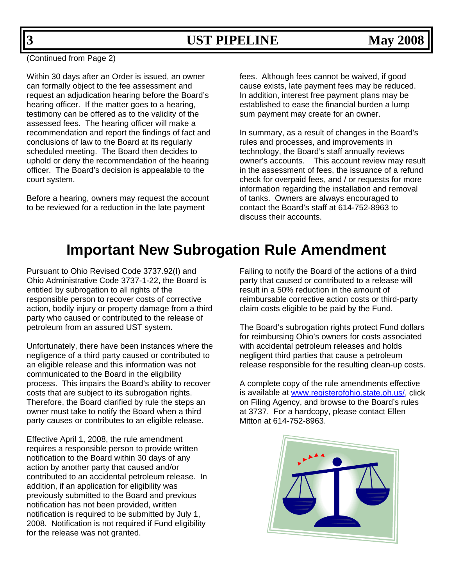(Continued from Page 2)

Within 30 days after an Order is issued, an owner can formally object to the fee assessment and request an adjudication hearing before the Board's hearing officer. If the matter goes to a hearing, testimony can be offered as to the validity of the assessed fees. The hearing officer will make a recommendation and report the findings of fact and conclusions of law to the Board at its regularly scheduled meeting. The Board then decides to uphold or deny the recommendation of the hearing officer. The Board's decision is appealable to the court system.

Before a hearing, owners may request the account to be reviewed for a reduction in the late payment

fees. Although fees cannot be waived, if good cause exists, late payment fees may be reduced. In addition, interest free payment plans may be established to ease the financial burden a lump sum payment may create for an owner.

In summary, as a result of changes in the Board's rules and processes, and improvements in technology, the Board's staff annually reviews owner's accounts. This account review may result in the assessment of fees, the issuance of a refund check for overpaid fees, and / or requests for more information regarding the installation and removal of tanks. Owners are always encouraged to contact the Board's staff at 614-752-8963 to discuss their accounts.

# **Important New Subrogation Rule Amendment**

Pursuant to Ohio Revised Code 3737.92(I) and Ohio Administrative Code 3737-1-22, the Board is entitled by subrogation to all rights of the responsible person to recover costs of corrective action, bodily injury or property damage from a third party who caused or contributed to the release of petroleum from an assured UST system.

Unfortunately, there have been instances where the negligence of a third party caused or contributed to an eligible release and this information was not communicated to the Board in the eligibility process. This impairs the Board's ability to recover costs that are subject to its subrogation rights. Therefore, the Board clarified by rule the steps an owner must take to notify the Board when a third party causes or contributes to an eligible release.

Effective April 1, 2008, the rule amendment requires a responsible person to provide written notification to the Board within 30 days of any action by another party that caused and/or contributed to an accidental petroleum release. In addition, if an application for eligibility was previously submitted to the Board and previous notification has not been provided, written notification is required to be submitted by July 1, 2008. Notification is not required if Fund eligibility for the release was not granted.

Failing to notify the Board of the actions of a third party that caused or contributed to a release will result in a 50% reduction in the amount of reimbursable corrective action costs or third-party claim costs eligible to be paid by the Fund.

The Board's subrogation rights protect Fund dollars for reimbursing Ohio's owners for costs associated with accidental petroleum releases and holds negligent third parties that cause a petroleum release responsible for the resulting clean-up costs.

A complete copy of the rule amendments effective is available at [www.registerofohio.state.oh.us/](http://www.registerofohio.state.oh.us/), click on Filing Agency, and browse to the Board's rules at 3737. For a hardcopy, please contact Ellen Mitton at 614-752-8963.